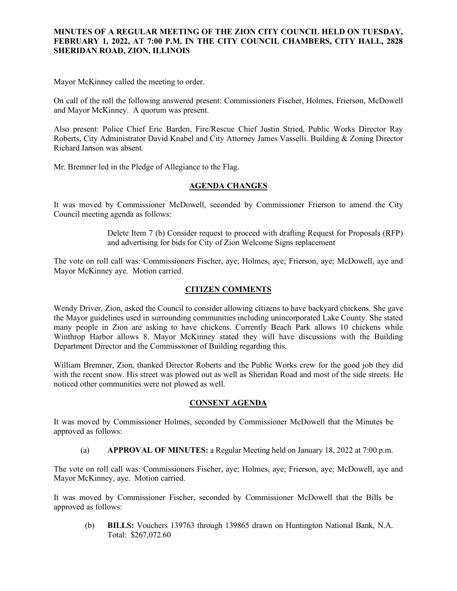# **MINUTES OF A REGULAR MEETING OF THE ZION CITY COUNCIL HELD ON TUESDAY, FEBRUARY 1, 2022, AT 7:00 P.M. IN THE CITY COUNCIL CHAMBERS, CITY HALL, 2828 SHERIDAN ROAD, ZION, ILLINOIS**

#### 

Mayor McKinney called the meeting to order.

On call of the roll the following answered present: Commissioners Fischer, Holmes, Frierson, McDowell and Mayor McKinney. A quorum was present.

Also present: Police Chief Eric Barden, Fire/Rescue Chief Justin Stried, Public Works Director Ray Roberts, City Administrator David Knabel and City Attorney James Vasselli. Building & Zoning Director Richard Ianson was absent.

Mr. Bremner led in the Pledge of Allegiance to the Flag.

## **AGENDA CHANGES**

It was moved by Commissioner McDowell, seconded by Commissioner Frierson to amend the City Council meeting agenda as follows:

> Delete Item 7 (b) Consider request to proceed with drafting Request for Proposals (RFP) and advertising for bids for City of Zion Welcome Signs replacement

The vote on roll call was: Commissioners Fischer, aye; Holmes, aye; Frierson, aye; McDowell, aye and Mayor McKinney aye. Motion carried.

# **CITIZEN COMMENTS**

Wendy Driver, Zion, asked the Council to consider allowing citizens to have backyard chickens. She gave the Mayor guidelines used in surrounding communities including unincorporated Lake County. She stated many people in Zion are asking to have chickens. Currently Beach Park allows 10 chickens while Winthrop Harbor allows 8. Mayor McKinney stated they will have discussions with the Building Department Director and the Commissioner of Building regarding this.

William Bremner, Zion, thanked Director Roberts and the Public Works crew for the good job they did with the recent snow. His street was plowed out as well as Sheridan Road and most of the side streets. He noticed other communities were not plowed as well.

# **CONSENT AGENDA**

It was moved by Commissioner Holmes, seconded by Commissioner McDowell that the Minutes be approved as follows:

(a) **APPROVAL OF MINUTES:** a Regular Meeting held on January 18, 2022 at 7:00 p.m.

The vote on roll call was: Commissioners Fischer, aye; Holmes, aye; Frierson, aye; McDowell, aye and Mayor McKinney, aye. Motion carried.

It was moved by Commissioner Fischer, seconded by Commissioner McDowell that the Bills be approved as follows:

(b) **BILLS:** Vouchers 139763 through 139865 drawn on Huntington National Bank, N.A. Total: \$267,072.60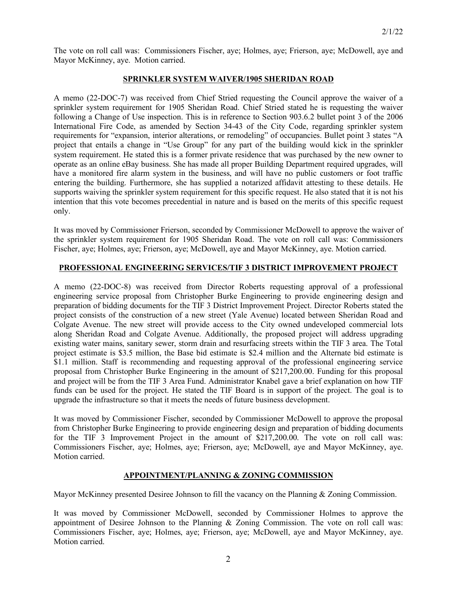The vote on roll call was: Commissioners Fischer, aye; Holmes, aye; Frierson, aye; McDowell, aye and Mayor McKinney, aye. Motion carried.

### **SPRINKLER SYSTEM WAIVER/1905 SHERIDAN ROAD**

A memo (22-DOC-7) was received from Chief Stried requesting the Council approve the waiver of a sprinkler system requirement for 1905 Sheridan Road. Chief Stried stated he is requesting the waiver following a Change of Use inspection. This is in reference to Section 903.6.2 bullet point 3 of the 2006 International Fire Code, as amended by Section 34-43 of the City Code, regarding sprinkler system requirements for "expansion, interior alterations, or remodeling" of occupancies. Bullet point 3 states "A project that entails a change in "Use Group" for any part of the building would kick in the sprinkler system requirement. He stated this is a former private residence that was purchased by the new owner to operate as an online eBay business. She has made all proper Building Department required upgrades, will have a monitored fire alarm system in the business, and will have no public customers or foot traffic entering the building. Furthermore, she has supplied a notarized affidavit attesting to these details. He supports waiving the sprinkler system requirement for this specific request. He also stated that it is not his intention that this vote becomes precedential in nature and is based on the merits of this specific request only.

It was moved by Commissioner Frierson, seconded by Commissioner McDowell to approve the waiver of the sprinkler system requirement for 1905 Sheridan Road. The vote on roll call was: Commissioners Fischer, aye; Holmes, aye; Frierson, aye; McDowell, aye and Mayor McKinney, aye. Motion carried.

# **PROFESSIONAL ENGINEERING SERVICES/TIF 3 DISTRICT IMPROVEMENT PROJECT**

A memo (22-DOC-8) was received from Director Roberts requesting approval of a professional engineering service proposal from Christopher Burke Engineering to provide engineering design and preparation of bidding documents for the TIF 3 District Improvement Project. Director Roberts stated the project consists of the construction of a new street (Yale Avenue) located between Sheridan Road and Colgate Avenue. The new street will provide access to the City owned undeveloped commercial lots along Sheridan Road and Colgate Avenue. Additionally, the proposed project will address upgrading existing water mains, sanitary sewer, storm drain and resurfacing streets within the TIF 3 area. The Total project estimate is \$3.5 million, the Base bid estimate is \$2.4 million and the Alternate bid estimate is \$1.1 million. Staff is recommending and requesting approval of the professional engineering service proposal from Christopher Burke Engineering in the amount of \$217,200.00. Funding for this proposal and project will be from the TIF 3 Area Fund. Administrator Knabel gave a brief explanation on how TIF funds can be used for the project. He stated the TIF Board is in support of the project. The goal is to upgrade the infrastructure so that it meets the needs of future business development.

It was moved by Commissioner Fischer, seconded by Commissioner McDowell to approve the proposal from Christopher Burke Engineering to provide engineering design and preparation of bidding documents for the TIF 3 Improvement Project in the amount of \$217,200.00. The vote on roll call was: Commissioners Fischer, aye; Holmes, aye; Frierson, aye; McDowell, aye and Mayor McKinney, aye. Motion carried.

# **APPOINTMENT/PLANNING & ZONING COMMISSION**

Mayor McKinney presented Desiree Johnson to fill the vacancy on the Planning & Zoning Commission.

It was moved by Commissioner McDowell, seconded by Commissioner Holmes to approve the appointment of Desiree Johnson to the Planning & Zoning Commission. The vote on roll call was: Commissioners Fischer, aye; Holmes, aye; Frierson, aye; McDowell, aye and Mayor McKinney, aye. Motion carried.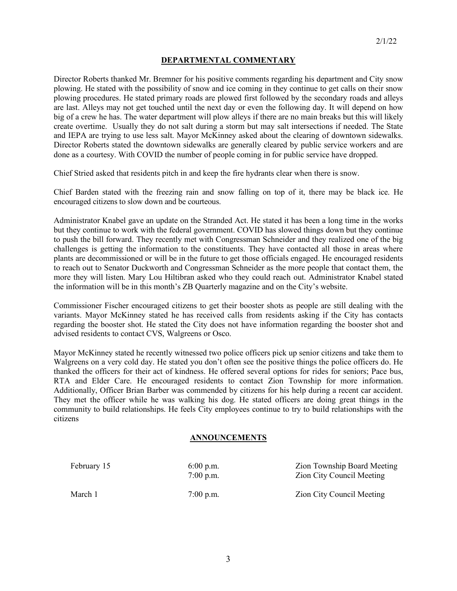### **DEPARTMENTAL COMMENTARY**

Director Roberts thanked Mr. Bremner for his positive comments regarding his department and City snow plowing. He stated with the possibility of snow and ice coming in they continue to get calls on their snow plowing procedures. He stated primary roads are plowed first followed by the secondary roads and alleys are last. Alleys may not get touched until the next day or even the following day. It will depend on how big of a crew he has. The water department will plow alleys if there are no main breaks but this will likely create overtime. Usually they do not salt during a storm but may salt intersections if needed. The State and IEPA are trying to use less salt. Mayor McKinney asked about the clearing of downtown sidewalks. Director Roberts stated the downtown sidewalks are generally cleared by public service workers and are done as a courtesy. With COVID the number of people coming in for public service have dropped.

Chief Stried asked that residents pitch in and keep the fire hydrants clear when there is snow.

Chief Barden stated with the freezing rain and snow falling on top of it, there may be black ice. He encouraged citizens to slow down and be courteous.

Administrator Knabel gave an update on the Stranded Act. He stated it has been a long time in the works but they continue to work with the federal government. COVID has slowed things down but they continue to push the bill forward. They recently met with Congressman Schneider and they realized one of the big challenges is getting the information to the constituents. They have contacted all those in areas where plants are decommissioned or will be in the future to get those officials engaged. He encouraged residents to reach out to Senator Duckworth and Congressman Schneider as the more people that contact them, the more they will listen. Mary Lou Hiltibran asked who they could reach out. Administrator Knabel stated the information will be in this month's ZB Quarterly magazine and on the City's website.

Commissioner Fischer encouraged citizens to get their booster shots as people are still dealing with the variants. Mayor McKinney stated he has received calls from residents asking if the City has contacts regarding the booster shot. He stated the City does not have information regarding the booster shot and advised residents to contact CVS, Walgreens or Osco.

Mayor McKinney stated he recently witnessed two police officers pick up senior citizens and take them to Walgreens on a very cold day. He stated you don't often see the positive things the police officers do. He thanked the officers for their act of kindness. He offered several options for rides for seniors; Pace bus, RTA and Elder Care. He encouraged residents to contact Zion Township for more information. Additionally, Officer Brian Barber was commended by citizens for his help during a recent car accident. They met the officer while he was walking his dog. He stated officers are doing great things in the community to build relationships. He feels City employees continue to try to build relationships with the citizens

#### **ANNOUNCEMENTS**

| February 15 | $6:00$ p.m.<br>$7:00$ p.m. | Zion Township Board Meeting<br><b>Zion City Council Meeting</b> |
|-------------|----------------------------|-----------------------------------------------------------------|
| March 1     | $7:00$ p.m.                | Zion City Council Meeting                                       |